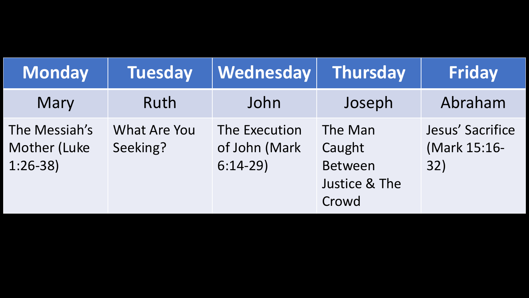| <b>Monday</b>                              | <b>Tuesday</b>           | Wednesday                                   | Thursday                                               | <b>Friday</b>                           |
|--------------------------------------------|--------------------------|---------------------------------------------|--------------------------------------------------------|-----------------------------------------|
| Mary                                       | Ruth                     | John                                        | Joseph                                                 | Abraham                                 |
| The Messiah's<br>Mother (Luke<br>$1:26-38$ | What Are You<br>Seeking? | The Execution<br>of John (Mark<br>$6:14-29$ | The Man<br>Caught<br>Between<br>Justice & The<br>Crowd | Jesus' Sacrifice<br>(Mark 15:16-<br>32) |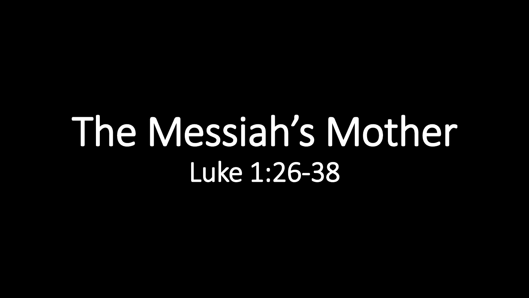# The Messiah's Mother Luke 1:26-38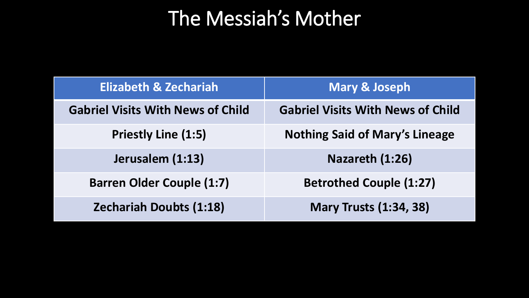## The Messiah's Mother

| <b>Elizabeth &amp; Zechariah</b>         | <b>Mary &amp; Joseph</b>                 |  |  |
|------------------------------------------|------------------------------------------|--|--|
| <b>Gabriel Visits With News of Child</b> | <b>Gabriel Visits With News of Child</b> |  |  |
| <b>Priestly Line (1:5)</b>               | <b>Nothing Said of Mary's Lineage</b>    |  |  |
| Jerusalem (1:13)                         | Nazareth (1:26)                          |  |  |
| <b>Barren Older Couple (1:7)</b>         | <b>Betrothed Couple (1:27)</b>           |  |  |
| <b>Zechariah Doubts (1:18)</b>           | <b>Mary Trusts (1:34, 38)</b>            |  |  |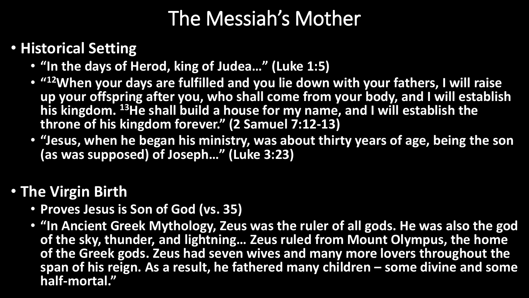### The Messiah's Mother

#### • **Historical Setting**

- **"In the days of Herod, king of Judea…" (Luke 1:5)**
- **" <sup>12</sup>When your days are fulfilled and you lie down with your fathers, I will raise up your offspring after you, who shall come from your body, and I will establish his kingdom. <sup>13</sup>He shall build a house for my name, and I will establish the throne of his kingdom forever." (2 Samuel 7:12-13)**
- **"Jesus, when he began his ministry, was about thirty years of age, being the son (as was supposed) of Joseph…" (Luke 3:23)**

#### • **The Virgin Birth**

- **Proves Jesus is Son of God (vs. 35)**
- **"In Ancient Greek Mythology, Zeus was the ruler of all gods. He was also the god of the sky, thunder, and lightning… Zeus ruled from Mount Olympus, the home of the Greek gods. Zeus had seven wives and many more lovers throughout the span of his reign. As a result, he fathered many children – some divine and some half-mortal."**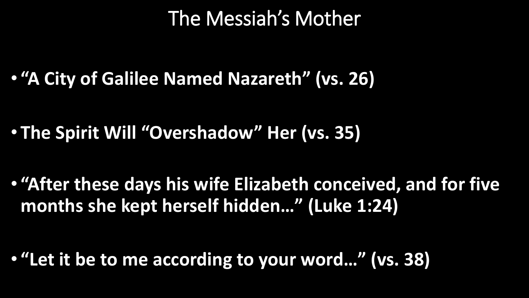#### The Messiah's Mother

• **"A City of Galilee Named Nazareth" (vs. 26)**

• **The Spirit Will "Overshadow" Her (vs. 35)**

• **"After these days his wife Elizabeth conceived, and for five months she kept herself hidden…" (Luke 1:24)**

• **"Let it be to me according to your word…" (vs. 38)**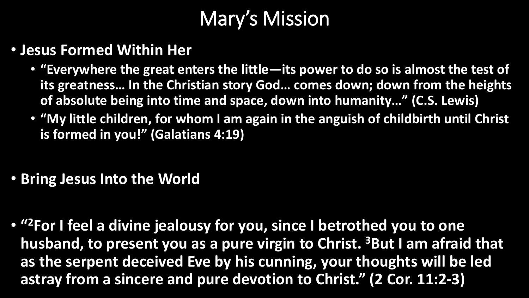## Mary's Mission

- **Jesus Formed Within Her**
	- **"Everywhere the great enters the little—its power to do so is almost the test of its greatness… In the Christian story God… comes down; down from the heights of absolute being into time and space, down into humanity…" (C.S. Lewis)**
	- **"My little children, for whom I am again in the anguish of childbirth until Christ is formed in you!" (Galatians 4:19)**
- **Bring Jesus Into the World**
- **" <sup>2</sup>For I feel a divine jealousy for you, since I betrothed you to one husband, to present you as a pure virgin to Christ. <sup>3</sup>But I am afraid that as the serpent deceived Eve by his cunning, your thoughts will be led astray from a sincere and pure devotion to Christ." (2 Cor. 11:2-3)**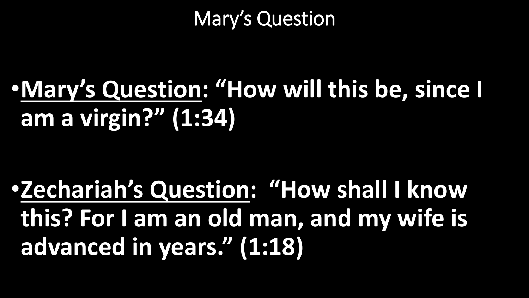#### Mary's Question

## •**Mary's Question: "How will this be, since I am a virgin?" (1:34)**

•**Zechariah's Question: "How shall I know this? For I am an old man, and my wife is advanced in years." (1:18)**